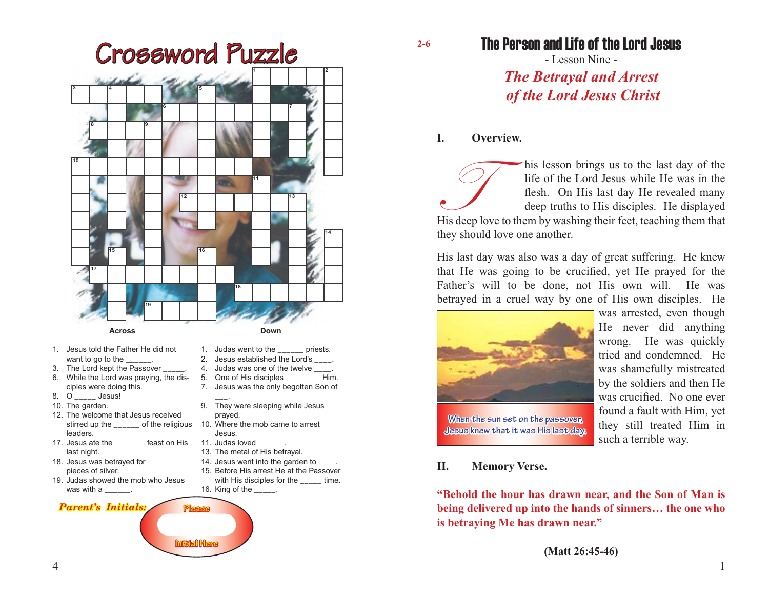

- stirred up the \_\_\_\_\_\_ of the religious 10. Where the mob came to arrest leaders.
- 17. Jesus ate the \_\_\_\_\_\_\_ feast on His last night.
- 18. Jesus was betrayed for \_\_\_\_\_ pieces of silver.
- 19. Judas showed the mob who Jesus was with a  $\frac{1}{2}$ .

#### *Parent's Initials:*

- prayed.
- Jesus. 11. Judas loved

**Please**

**Initial Here**

- 13. The metal of His betrayal.
- 14. Jesus went into the garden to
- 15. Before His arrest He at the Passover
- with His disciples for the \_\_\_\_\_ time.
- 16. King of the \_\_\_\_\_.

# The Person and Life of the Lord Jesus

- Lesson Nine - *The Betrayal and Arrest of the Lord Jesus Christ*

## **I. Overview.**

**2-6**

This lesson brings us to the last day of the life of the Lord Jesus while He was in the flesh. On His last day He revealed many deep truths to His disciples. He displayed His deep love to them by washing their feet, teachi life of the Lord Jesus while He was in the flesh. On His last day He revealed many deep truths to His disciples. He displayed they should love one another.

His last day was also was a day of great suffering. He knew that He was going to be crucified, yet He prayed for the Father's will to be done, not His own will. He was betrayed in a cruel way by one of His own disciples. He



was arrested, even though He never did anything wrong. He was quickly tried and condemned. He was shamefully mistreated by the soldiers and then He was crucified. No one ever found a fault with Him, yet they still treated Him in such a terrible way.

# **Jesus knew that it was His last day.**

**When the sun set on the passover,** 

# **II. Memory Verse.**

**"Behold the hour has drawn near, and the Son of Man is being delivered up into the hands of sinners… the one who is betraying Me has drawn near."**